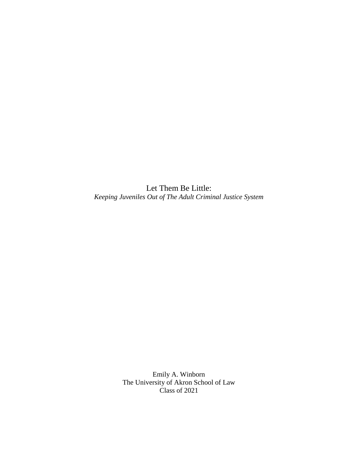Let Them Be Little: *Keeping Juveniles Out of The Adult Criminal Justice System*

> Emily A. Winborn The University of Akron School of Law Class of 2021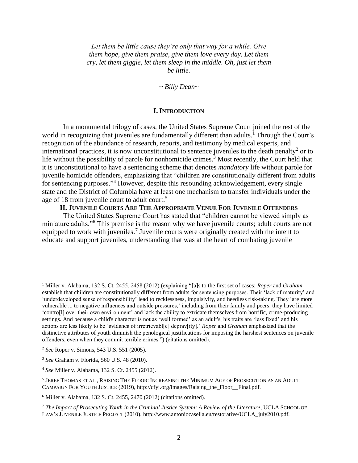*Let them be little cause they're only that way for a while. Give them hope, give them praise, give them love every day. Let them cry, let them giggle, let them sleep in the middle. Oh, just let them be little.*

*~ Billy Dean~*

#### **I. INTRODUCTION**

In a monumental trilogy of cases, the United States Supreme Court joined the rest of the world in recognizing that juveniles are fundamentally different than adults.<sup>1</sup> Through the Court's recognition of the abundance of research, reports, and testimony by medical experts, and international practices, it is now unconstitutional to sentence juveniles to the death penalty<sup>2</sup> or to life without the possibility of parole for nonhomicide crimes.<sup>3</sup> Most recently, the Court held that it is unconstitutional to have a sentencing scheme that denotes *mandatory* life without parole for juvenile homicide offenders, emphasizing that "children are constitutionally different from adults for sentencing purposes."<sup>4</sup> However, despite this resounding acknowledgement, every single state and the District of Columbia have at least one mechanism to transfer individuals under the age of 18 from juvenile court to adult court.<sup>5</sup>

### **II. JUVENILE COURTS ARE THE APPROPRIATE VENUE FOR JUVENILE OFFENDERS**

The United States Supreme Court has stated that "children cannot be viewed simply as miniature adults."<sup>6</sup> This premise is the reason why we have juvenile courts; adult courts are not equipped to work with juveniles.<sup>7</sup> Juvenile courts were originally created with the intent to educate and support juveniles, understanding that was at the heart of combating juvenile

<sup>1</sup> Miller v. Alabama, 132 S. Ct. 2455, 2458 (2012) (explaining "[a]s to the first set of cases: *Roper* and *Graham* establish that children are constitutionally different from adults for sentencing purposes. Their 'lack of maturity' and 'underdeveloped sense of responsibility' lead to recklessness, impulsivity, and heedless risk-taking. They 'are more vulnerable ... to negative influences and outside pressures,' including from their family and peers; they have limited 'contro[l] over their own environment' and lack the ability to extricate themselves from horrific, crime-producing settings*.* And because a child's character is not as 'well formed' as an adult's, his traits are 'less fixed' and his actions are less likely to be 'evidence of irretrievabl[e] deprav[ity].' *Roper* and *Graham* emphasized that the distinctive attributes of youth diminish the penological justifications for imposing the harshest sentences on juvenile offenders, even when they commit terrible crimes.") (citations omitted).

<sup>2</sup> *See* Roper v. Simons, 543 U.S. 551 (2005).

<sup>3</sup> *See* Graham v. Florida, 560 U.S. 48 (2010).

<sup>4</sup> *See* Miller v. Alabama, 132 S. Ct. 2455 (2012).

<sup>&</sup>lt;sup>5</sup> JEREE THOMAS ET AL., RAISING THE FLOOR: INCREASING THE MINIMUM AGE OF PROSECUTION AS AN ADULT, CAMPAIGN FOR YOUTH JUSTICE (2019), http://cfyj.org/images/Raising\_the\_Floor\_\_Final.pdf.

<sup>6</sup> Miller v. Alabama, 132 S. Ct. 2455, 2470 (2012) (citations omitted).

<sup>&</sup>lt;sup>7</sup> The Impact of Prosecuting Youth in the Criminal Justice System: A Review of the Literature, UCLA SCHOOL OF LAW'S JUVENILE JUSTICE PROJECT (2010), http://www.antoniocasella.eu/restorative/UCLA\_july2010.pdf.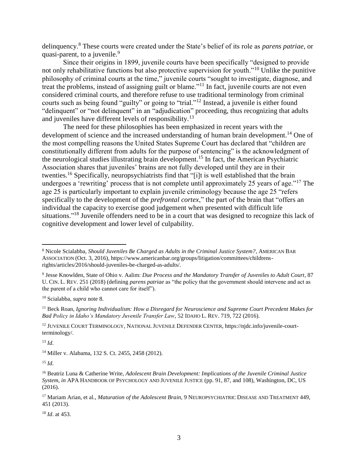delinquency.<sup>8</sup> These courts were created under the State's belief of its role as *parens patriae*, or quasi-parent, to a juvenile. $9$ 

Since their origins in 1899, juvenile courts have been specifically "designed to provide not only rehabilitative functions but also protective supervision for youth."<sup>10</sup> Unlike the punitive philosophy of criminal courts at the time," juvenile courts "sought to investigate, diagnose, and treat the problems, instead of assigning guilt or blame."<sup>11</sup> In fact, juvenile courts are not even considered criminal courts, and therefore refuse to use traditional terminology from criminal courts such as being found "guilty" or going to "trial."<sup>12</sup> Instead, a juvenile is either found "delinquent" or "not delinquent" in an "adjudication" proceeding, thus recognizing that adults and juveniles have different levels of responsibility.<sup>13</sup>

The need for these philosophies has been emphasized in recent years with the development of science and the increased understanding of human brain development.<sup>14</sup> One of the most compelling reasons the United States Supreme Court has declared that "children are constitutionally different from adults for the purpose of sentencing" is the acknowledgment of the neurological studies illustrating brain development.<sup>15</sup> In fact, the American Psychiatric Association shares that juveniles' brains are not fully developed until they are in their twenties.<sup>16</sup> Specifically, neuropsychiatrists find that "[i]t is well established that the brain undergoes a 'rewriting' process that is not complete until approximately 25 years of age."<sup>17</sup> The age 25 is particularly important to explain juvenile criminology because the age 25 "refers specifically to the development of the *prefrontal cortex*," the part of the brain that "offers an individual the capacity to exercise good judgement when presented with difficult life situations."<sup>18</sup> Juvenile offenders need to be in a court that was designed to recognize this lack of cognitive development and lower level of culpability.

<sup>12</sup> JUVENILE COURT TERMINOLOGY, NATIONAL JUVENILE DEFENDER CENTER, https://njdc.info/juvenile-courtterminology/.

<sup>13</sup> *Id*.

 $\overline{a}$ 

<sup>14</sup> Miller v. Alabama, 132 S. Ct. 2455, 2458 (2012).

<sup>15</sup> *Id*.

<sup>18</sup> *Id*. at 453.

<sup>8</sup> Nicole Scialabba, *Should Juveniles Be Charged as Adults in the Criminal Justice System?*, AMERICAN BAR ASSOCIATION (Oct. 3, 2016), https://www.americanbar.org/groups/litigation/committees/childrensrights/articles/2016/should-juveniles-be-charged-as-adults/.

<sup>9</sup> Jesse Knowlden, State of Ohio v. Aalim: *Due Process and the Mandatory Transfer of Juveniles to Adult Court*, 87 U. CIN. L. REV. 251 (2018) (defining *parens patriae* as "the policy that the government should intervene and act as the parent of a child who cannot care for itself").

<sup>10</sup> Scialabba, *supra* note 8.

<sup>11</sup> Beck Roan, *Ignoring Individualism: How a Disregard for Neuroscience and Supreme Court Precedent Makes for Bad Policy in Idaho's Mandatory Juvenile Transfer Law*, 52 IDAHO L. REV. 719, 722 (2016).

<sup>16</sup> Beatriz Luna & Catherine Write, *Adolescent Brain Development: Implications of the Juvenile Criminal Justice System*, *in* APA HANDBOOK OF PSYCHOLOGY AND JUVENILE JUSTICE (pp. 91, 87, and 108), Washington, DC, US (2016).

<sup>17</sup> Mariam Arian, et al., *Maturation of the Adolescent Brain*, 9 NEUROPSYCHIATRIC DISEASE AND TREATMENT 449, 451 (2013).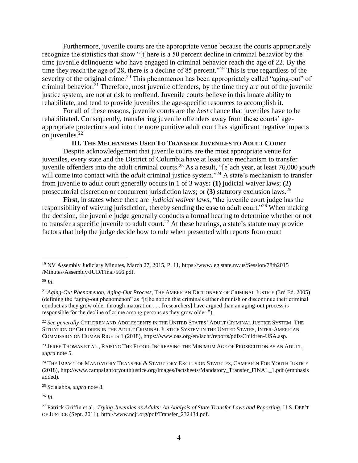Furthermore, juvenile courts are the appropriate venue because the courts appropriately recognize the statistics that show "[t]here is a 50 percent decline in criminal behavior by the time juvenile delinquents who have engaged in criminal behavior reach the age of 22. By the time they reach the age of 28, there is a decline of 85 percent."<sup>19</sup> This is true regardless of the severity of the original crime.<sup>20</sup> This phenomenon has been appropriately called "aging-out" of criminal behavior.<sup>21</sup> Therefore, most juvenile offenders, by the time they are out of the juvenile justice system, are not at risk to reoffend. Juvenile courts believe in this innate ability to rehabilitate, and tend to provide juveniles the age-specific resources to accomplish it.

For all of these reasons, juvenile courts are the *best* chance that juveniles have to be rehabilitated. Consequently, transferring juvenile offenders away from these courts' ageappropriate protections and into the more punitive adult court has significant negative impacts on juveniles.<sup>22</sup>

#### **III. THE MECHANISMS USED TO TRANSFER JUVENILES TO ADULT COURT**

Despite acknowledgement that juvenile courts are the most appropriate venue for juveniles, every state and the District of Columbia have at least one mechanism to transfer juvenile offenders into the adult criminal courts.<sup>23</sup> As a result, "[e]ach year, at least 76,000 *youth* will come into contact with the *adult* criminal justice system."<sup>24</sup> A state's mechanism to transfer from juvenile to adult court generally occurs in 1 of 3 ways**: (1)** judicial waiver laws; **(2)**  prosecutorial discretion or concurrent jurisdiction laws; or **(3)** statutory exclusion laws. 25

**First**, in states where there are *judicial waiver laws*, "the juvenile court judge has the responsibility of waiving jurisdiction, thereby sending the case to adult court."<sup>26</sup> When making the decision, the juvenile judge generally conducts a formal hearing to determine whether or not to transfer a specific juvenile to adult court.<sup>27</sup> At these hearings, a state's statute may provide factors that help the judge decide how to rule when presented with reports from court

 $\overline{a}$ 

<sup>25</sup> Scialabba, *supra* note 8.

<sup>19</sup> NV Assembly Judiciary Minutes, March 27, 2015, P. 11, https://www.leg.state.nv.us/Session/78th2015 /Minutes/Assembly/JUD/Final/566.pdf.

<sup>20</sup> *Id*.

<sup>21</sup> *Aging-Out Phenomenon, Aging-Out Process*, THE AMERICAN DICTIONARY OF CRIMINAL JUSTICE (3rd Ed. 2005) (defining the "aging-out phenomenon" as "[t]he notion that criminals either diminish or discontinue their criminal conduct as they grow older through maturation . . . [researchers] have argued than an aging-out process is responsible for the decline of crime among persons as they grow older.").

<sup>22</sup> *See generally* CHILDREN AND ADOLESCENTS IN THE UNITED STATES' ADULT CRIMINAL JUSTICE SYSTEM: THE SITUATION OF CHILDREN IN THE ADULT CRIMINAL JUSTICE SYSTEM IN THE UNITED STATES, INTER-AMERICAN COMMISSION ON HUMAN RIGHTS 1 (2018), https://www.oas.org/en/iachr/reports/pdfs/Children-USA.asp.

<sup>&</sup>lt;sup>23</sup> JEREE THOMAS ET AL., RAISING THE FLOOR: INCREASING THE MINIMUM AGE OF PROSECUTION AS AN ADULT, *supra* note 5.

<sup>&</sup>lt;sup>24</sup> THE IMPACT OF MANDATORY TRANSFER & STATUTORY EXCLUSION STATUTES, CAMPAIGN FOR YOUTH JUSTICE (2018), http://www.campaignforyouthjustice.org/images/factsheets/Mandatory\_Transfer\_FINAL\_1.pdf (emphasis added).

<sup>27</sup> Patrick Griffin et al., *Trying Juveniles as Adults: An Analysis of State Transfer Laws and Reporting*, U.S. DEP'T OF JUSTICE (Sept. 2011), http://www.ncjj.org/pdf/Transfer\_232434.pdf.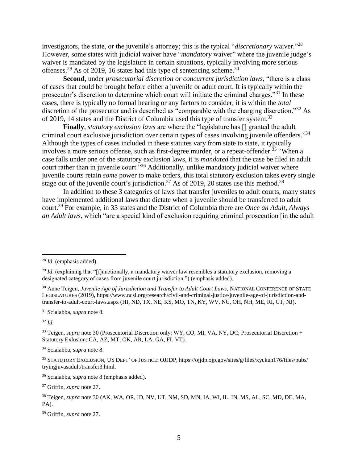investigators, the state, or the juvenile's attorney; this is the typical "*discretionary* waiver." 28 However, some states with judicial waiver have "*mandatory* waiver" where the juvenile judge's waiver is mandated by the legislature in certain situations, typically involving more serious offenses.<sup>29</sup> As of 2019, 16 states had this type of sentencing scheme.<sup>30</sup>

**Second**, under *prosecutorial discretion or concurrent jurisdiction laws*, "there is a class of cases that could be brought before either a juvenile or adult court. It is typically within the prosecutor's discretion to determine which court will initiate the criminal charges."<sup>31</sup> In these cases, there is typically no formal hearing or any factors to consider; it is within the *total* discretion of the prosecutor and is described as "comparable with the charging discretion."<sup>32</sup> As of 2019, 14 states and the District of Columbia used this type of transfer system.<sup>33</sup>

**Finally**, *statutory exclusion laws* are where the "legislature has [] granted the adult criminal court exclusive jurisdiction over certain types of cases involving juvenile offenders." 34 Although the types of cases included in these statutes vary from state to state, it typically involves a more serious offense, such as first-degree murder, or a repeat-offender.<sup>35</sup> "When a case falls under one of the statutory exclusion laws, it is *mandated* that the case be filed in adult court rather than in juvenile court."<sup>36</sup> Additionally, unlike mandatory judicial waiver where juvenile courts retain *some* power to make orders, this total statutory exclusion takes every single stage out of the juvenile court's jurisdiction.<sup>37</sup> As of 2019, 20 states use this method.<sup>38</sup>

In addition to these 3 categories of laws that transfer juveniles to adult courts, many states have implemented additional laws that dictate when a juvenile should be transferred to adult court.<sup>39</sup> For example, in 33 states and the District of Columbia there are *Once an Adult, Always an Adult laws*, which "are a special kind of exclusion requiring criminal prosecution [in the adult

<sup>31</sup> Scialabba, *supra* note 8.

<sup>32</sup> *Id*.

<sup>28</sup> *Id*. (emphasis added).

<sup>&</sup>lt;sup>29</sup> *Id.* (explaining that "[f]unctionally, a mandatory waiver law resembles a statutory exclusion, removing a designated category of cases from juvenile court jurisdiction.") (emphasis added).

<sup>30</sup> Anne Teigen, *Juvenile Age of Jurisdiction and Transfer to Adult Court Laws*, NATIONAL CONFERENCE OF STATE LEGISLATURES (2019), https://www.ncsl.org/research/civil-and-criminal-justice/juvenile-age-of-jurisdiction-andtransfer-to-adult-court-laws.aspx (HI, ND, TX, NE, KS, MO, TN, KY, WV, NC, OH, NH, ME, RI, CT, NJ).

<sup>&</sup>lt;sup>33</sup> Teigen, *supra* note 30 (Prosecutorial Discretion only: WY, CO, MI, VA, NY, DC; Prosecutorial Discretion + Statutory Exlusion: CA, AZ, MT, OK, AR, LA, GA, FL VT).

<sup>34</sup> Scialabba, *supra* note 8.

<sup>35</sup> STATUTORY EXCLUSION, US DEPT' OF JUSTICE: OJJDP, https://ojjdp.ojp.gov/sites/g/files/xyckuh176/files/pubs/ tryingjuvasadult/transfer3.html.

<sup>36</sup> Scialabba, *supra* note 8 (emphasis added).

<sup>37</sup> Griffin, *supra* note 27.

<sup>38</sup> Teigen, *supra* note 30 (AK, WA, OR, ID, NV, UT, NM, SD, MN, IA, WI, IL, IN, MS, AL, SC, MD, DE, MA, PA).

<sup>39</sup> Griffin, *supra* note 27.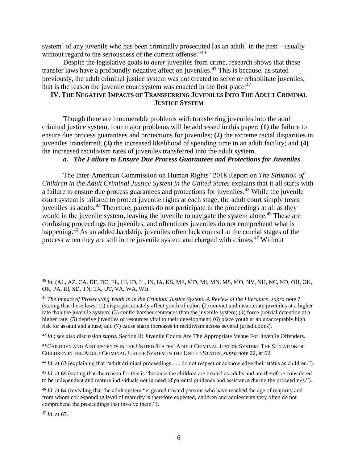system] of any juvenile who has been criminally prosecuted [as an adult] in the past – usually without regard to the seriousness of the current offense."<sup>40</sup>

Despite the legislative goals to *deter* juveniles from crime, research shows that these transfer laws have a profoundly negative affect on juveniles.<sup>41</sup> This is because, as stated previously, the adult criminal justice system was not created to serve or rehabilitate juveniles; that is the reason the juvenile court system was enacted in the first place.<sup>42</sup>

# **IV. THE NEGATIVE IMPACTS OF TRANSFERRING JUVENILES INTO THE ADULT CRIMINAL JUSTICE SYSTEM**

Though there are innumerable problems with transferring juveniles into the adult criminal justice system, four major problems will be addressed in this paper: **(1)** the failure to ensure due process guarantees and protections for juveniles; **(2)** the extreme racial disparities in juveniles transferred; **(3)** the increased likelihood of spending time in an adult facility; and **(4)** the increased recidivism rates of juveniles transferred into the adult system.

## *a. The Failure to Ensure Due Process Guarantees and Protections for Juveniles*

The Inter-American Commission on Human Rights' 2018 Report on *The Situation of Children in the Adult Criminal Justice System in the United States* explains that it all starts with a failure to ensure due process guarantees and protections for juveniles.<sup>43</sup> While the juvenile court system is tailored to protect juvenile rights at each stage, the adult court simply treats juveniles as adults.<sup>44</sup> Therefore, parents do not participate in the proceedings at all as they would in the juvenile system, leaving the juvenile to navigate the system alone.<sup>45</sup> These are confusing proceedings for juveniles, and oftentimes juveniles do not comprehend what is happening.<sup>46</sup> As an added hardship, juveniles often lack counsel at the crucial stages of the process when they are still in the juvenile system and charged with crimes.<sup>47</sup> Without

<sup>42</sup> *Id*.; *see also* discussion *supra*, Section II: Juvenile Courts Are The Appropriate Venue For Juvenile Offenders.

<sup>43</sup> CHILDREN AND ADOLESCENTS IN THE UNITED STATES' ADULT CRIMINAL JUSTICE SYSTEM: THE SITUATION OF CHILDREN IN THE ADULT CRIMINAL JUSTICE SYSTEM IN THE UNITED STATES, *supra* note 22, at 62.

<sup>44</sup> *Id.* at 63 (explaining that "adult criminal proceedings . . . do not respect or acknowledge their status as children.").

<sup>45</sup> *Id.* at 69 (stating that the reason for this is "because the children are treated as adults and are therefore considered to be independent and mature individuals not in need of parental guidance and assistance during the proceedings.").

<sup>40</sup> *Id*. (AL, AZ, CA, DE, DC, FL, HI, ID, IL, IN, IA, KS, ME, MD, MI, MN, MS, MO, NV, NH, NC, ND, OH, OK, OR, PA, RI, SD, TN, TX, UT, VA, WA, WI).

<sup>41</sup> *The Impact of Prosecuting Youth in in the Criminal Justice System: A Review of the Literature*, *supra* note 7 (stating that these laws: (1) disproportionately affect youth of color; (2) convict and incarcerate juveniles at a higher rate than the juvenile system; (3) confer harsher sentences than the juvenile system; (4) force pretrial detention at a higher rate; (5) deprive juveniles of resources vital to their development; (6) place youth at an unacceptably high risk for assault and abuse; and (7) cause sharp increases in recidivism across several jurisdictions).

<sup>&</sup>lt;sup>46</sup> *Id.* at 64 (revealing that the adult system "is geared toward persons who have reached the age of majority and from whom corresponding level of maturity is therefore expected, children and adolescents very often do not comprehend the proceedings that involve them.").

<sup>47</sup> *Id*. at 67.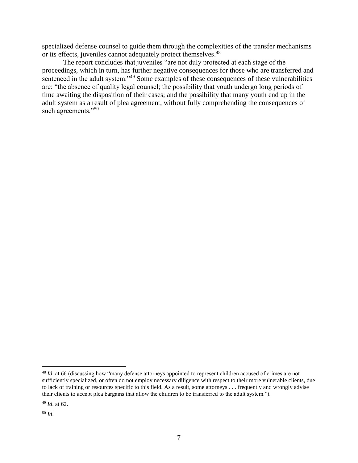specialized defense counsel to guide them through the complexities of the transfer mechanisms or its effects, juveniles cannot adequately protect themselves.<sup>48</sup>

The report concludes that juveniles "are not duly protected at each stage of the proceedings, which in turn, has further negative consequences for those who are transferred and sentenced in the adult system."<sup>49</sup> Some examples of these consequences of these vulnerabilities are: "the absence of quality legal counsel; the possibility that youth undergo long periods of time awaiting the disposition of their cases; and the possibility that many youth end up in the adult system as a result of plea agreement, without fully comprehending the consequences of such agreements."<sup>50</sup>

<sup>48</sup> *Id*. at 66 (discussing how "many defense attorneys appointed to represent children accused of crimes are not sufficiently specialized, or often do not employ necessary diligence with respect to their more vulnerable clients, due to lack of training or resources specific to this field. As a result, some attorneys . . . frequently and wrongly advise their clients to accept plea bargains that allow the children to be transferred to the adult system.").

<sup>49</sup> *Id*. at 62.

<sup>50</sup> *Id*.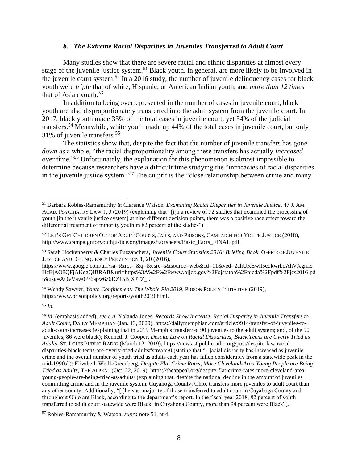### *b. The Extreme Racial Disparities in Juveniles Transferred to Adult Court*

Many studies show that there are severe racial and ethnic disparities at almost every stage of the juvenile justice system.<sup>51</sup> Black youth, in general, are more likely to be involved in the juvenile court system.<sup>52</sup> In a 2016 study, the number of juvenile delinquency cases for black youth were *triple* that of white, Hispanic, or American Indian youth, and *more than 12 times* that of Asian youth. $53$ 

In addition to being overrepresented in the number of cases in juvenile court, black youth are also disproportionately transferred into the adult system from the juvenile court. In 2017, black youth made 35% of the total cases in juvenile court, yet 54% of the judicial transfers.<sup>54</sup> Meanwhile, white youth made up 44% of the total cases in juvenile court, but only 31% of juvenile transfers.<sup>55</sup>

The statistics show that, despite the fact that the number of juvenile transfers has gone *down* as a whole, "the racial disproportionality among these transfers has actually *increased* over time."<sup>56</sup> Unfortunately, the explanation for this phenomenon is almost impossible to determine because researchers have a difficult time studying the "intricacies of racial disparities in the juvenile justice system."<sup>57</sup> The culprit is the "close relationship between crime and many

https://www.google.com/url?sa=t&rct=j&q=&esrc=s&source=web&cd=11&ved=2ahUKEwil5cqkwrboAhVXgnIE HcEjAO8QFjAKegQIBRAB&url=https%3A%2F%2Fwww.ojjdp.gov%2Fojstatbb%2Fnjcda%2Fpdf%2Fjcs2016.pd f&usg=AOvVaw0Pr6apw6z6DZ15BjXJTZ\_l.

<sup>54</sup> Wendy Sawyer, *Youth Confinement: The Whole Pie 2019*, PRISON POLICY INITIATIVE (2019), https://www.prisonpolicy.org/reports/youth2019.html.

<sup>55</sup> *Id*.

 $\overline{a}$ 

<sup>56</sup> *Id*. (emphasis added); *see e.g.* Yolanda Jones, *Records Show Increase, Racial Disparity in Juvenile Transfers to Adult Court*, DAILY MEMPHIAN (Jan. 13, 2020), https://dailymemphian.com/article/9914/transfer-of-juveniles-toadult-court-increases (explaining that in 2019 Memphis transferred 90 juveniles to the adult system; and, of the 90 juveniles, 86 were black); Kenneth J. Cooper*, Despite Law on Racial Disparities, Black Teens are Overly Tried as Adults*, ST. LOUIS PUBLIC RADIO (March 12, 2019), https://news.stlpublicradio.org/post/despite-law-racialdisparities-black-teens-are-overly-tried-adults#stream/0 (stating that "[r]acial disparity has increased as juvenile crime and the overall number of youth tried as adults each year has fallen considerably from a statewide peak in the mid-1990s"); Elizabeth Weill-Greenberg, *Despite Flat Crime Rates, More Cleveland-Area Young People are Being Tried as Adults*, THE APPEAL (Oct. 22, 2019), https://theappeal.org/despite-flat-crime-rates-more-cleveland-areayoung-people-are-being-tried-as-adults/ (explaining that, despite the national decline in the amount of juveniles committing crime and in the juvenile system, Cuyahoga County, Ohio, transfers more juveniles to adult court than any other county. Additionally, "[t]he vast majority of those transferred to adult court in Cuyahoga County and throughout Ohio are Black, according to the department's report. In the fiscal year 2018, 82 percent of youth transferred to adult court statewide were Black; in Cuyahoga County, more than 94 percent were Black").

<sup>51</sup> Barbara Robles-Ramamurthy & Clarence Watson, *Examining Racial Disparities in Juvenile Justice*, 47 J. AM. ACAD. PSYCHIATRY LAW 1, 3 (2019) (explaining that "[i]n a review of 72 studies that examined the processing of youth [in the juvenile justice system] at nine different decision points, there was a positive race effect toward the differential treatment of minority youth in 82 percent of the studies").

<sup>52</sup> LET'S GET CHILDREN OUT OF ADULT COURTS, JAILS, AND PRISONS, CAMPAIGN FOR YOUTH JUSTICE (2018), http://www.campaignforyouthjustice.org/images/factsheets/Basic\_Facts\_FINAL.pdf.

<sup>53</sup> Sarah Hockenberry & Charles Puzzanchera, *Juvenile Court Statistics 2016: Briefing Book*, OFFICE OF JUVENILE JUSTICE AND DELINQUENCY PREVENTION 1, 20 (2016),

<sup>57</sup> Robles-Ramamurthy & Watson, *supra* note 51, at 4.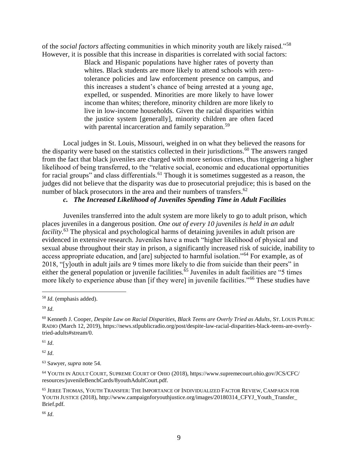of the *social factors* affecting communities in which minority youth are likely raised."<sup>58</sup> However, it is possible that this increase in disparities is correlated with social factors:

Black and Hispanic populations have higher rates of poverty than whites. Black students are more likely to attend schools with zerotolerance policies and law enforcement presence on campus, and this increases a student's chance of being arrested at a young age, expelled, or suspended. Minorities are more likely to have lower income than whites; therefore, minority children are more likely to live in low-income households. Given the racial disparities within the justice system [generally], minority children are often faced with parental incarceration and family separation.<sup>59</sup>

Local judges in St. Louis, Missouri, weighed in on what they believed the reasons for the disparity were based on the statistics collected in their jurisdictions.<sup>60</sup> The answers ranged from the fact that black juveniles are charged with more serious crimes, thus triggering a higher likelihood of being transferred, to the "relative social, economic and educational opportunities for racial groups" and class differentials.<sup>61</sup> Though it is sometimes suggested as a reason, the judges did not believe that the disparity was due to prosecutorial prejudice; this is based on the number of black prosecutors in the area and their numbers of transfers.<sup>62</sup>

## *c. The Increased Likelihood of Juveniles Spending Time in Adult Facilities*

Juveniles transferred into the adult system are more likely to go to adult prison, which places juveniles in a dangerous position. *One out of every 10 juveniles is held in an adult facility*. <sup>63</sup> The physical and psychological harms of detaining juveniles in adult prison are evidenced in extensive research. Juveniles have a much "higher likelihood of physical and sexual abuse throughout their stay in prison, a significantly increased risk of suicide, inability to access appropriate education, and [are] subjected to harmful isolation."<sup>64</sup> For example, as of 2018, "[y]outh in adult jails are 9 times more likely to die from suicide than their peers" in either the general population or juvenile facilities.<sup> $65$ </sup> Juveniles in adult facilities are "5 times" more likely to experience abuse than [if they were] in juvenile facilities."<sup>66</sup> These studies have

 $\overline{a}$ 

<sup>61</sup> *Id*.

<sup>62</sup> *Id*.

<sup>58</sup> *Id*. (emphasis added).

<sup>59</sup> *Id*.

<sup>60</sup> Kenneth J. Cooper*, Despite Law on Racial Disparities, Black Teens are Overly Tried as Adults*, ST. LOUIS PUBLIC RADIO (March 12, 2019), https://news.stlpublicradio.org/post/despite-law-racial-disparities-black-teens-are-overlytried-adults#stream/0.

<sup>63</sup> Sawyer, *supra* note 54.

<sup>64</sup> YOUTH IN ADULT COURT, SUPREME COURT OF OHIO (2018), https://www.supremecourt.ohio.gov/JCS/CFC/ resources/juvenileBenchCards/8youthAdultCourt.pdf.

<sup>65</sup> JEREE THOMAS, YOUTH TRANSFER: THE IMPORTANCE OF INDIVIDUALIZED FACTOR REVIEW, CAMPAIGN FOR YOUTH JUSTICE (2018), http://www.campaignforyouthjustice.org/images/20180314\_CFYJ\_Youth\_Transfer\_ Brief.pdf.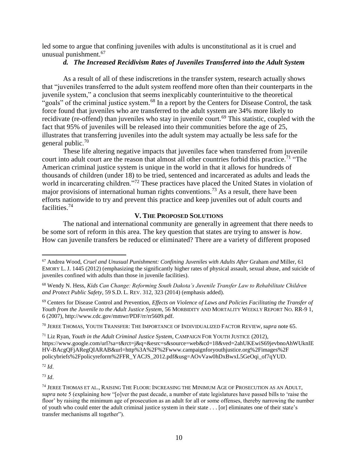led some to argue that confining juveniles with adults is unconstitutional as it is cruel and unusual punishment. 67

## *d. The Increased Recidivism Rates of Juveniles Transferred into the Adult System*

As a result of all of these indiscretions in the transfer system, research actually shows that "juveniles transferred to the adult system reoffend more often than their counterparts in the juvenile system," a conclusion that seems inexplicably counterintuitive to the theoretical "goals" of the criminal justice system.<sup>68</sup> In a report by the Centers for Disease Control, the task force found that juveniles who are transferred to the adult system are 34% more likely to recidivate (re-offend) than juveniles who stay in juvenile court.<sup>69</sup> This statistic, coupled with the fact that 95% of juveniles will be released into their communities before the age of 25, illustrates that transferring juveniles into the adult system may actually be less safe for the general public.<sup>70</sup>

These life altering negative impacts that juveniles face when transferred from juvenile court into adult court are the reason that almost all other countries forbid this practice.<sup>71</sup> "The American criminal justice system is unique in the world in that it allows for hundreds of thousands of children (under 18) to be tried, sentenced and incarcerated as adults and leads the world in incarcerating children."<sup>72</sup> These practices have placed the United States in violation of major provisions of international human rights conventions.<sup>73</sup> As a result, there have been efforts nationwide to try and prevent this practice and keep juveniles out of adult courts and facilities.<sup>74</sup>

## **V. THE PROPOSED SOLUTIONS**

The national and international community are generally in agreement that there needs to be some sort of reform in this area. The key question that states are trying to answer is *how*. How can juvenile transfers be reduced or eliminated? There are a variety of different proposed

<sup>70</sup> JEREE THOMAS, YOUTH TRANSFER: THE IMPORTANCE OF INDIVIDUALIZED FACTOR REVIEW, *supra* note 65.

<sup>71</sup> Liz Ryan, *Youth in the Adult Criminal Justice System*, CAMPAIGN FOR YOUTH JUSTICE (2012), https://www.google.com/url?sa=t&rct=j&q=&esrc=s&source=web&cd=18&ved=2ahUKEwiS69jevbnoAhWUknIE HV-BAcgQFjARegQIARAB&url=http%3A%2F%2Fwww.campaignforyouthjustice.org%2Fimages%2F policybriefs%2Fpolicyreform%2FFR\_YACJS\_2012.pdf&usg=AOvVaw0hDxBwxL5GeOqi\_of7qYUD.

<sup>72</sup> *Id*.

 $\overline{a}$ 

<sup>67</sup> Andrea Wood, *Cruel and Unusual Punishment: Confining Juveniles with Adults After* Graham *and* Miller, 61 EMORY L. J. 1445 (2012) (emphasizing the significantly higher rates of physical assault, sexual abuse, and suicide of juveniles confined with adults than those in juvenile facilities).

<sup>68</sup> Wendy N. Hess, *Kids Can Change: Reforming South Dakota's Juvenile Transfer Law to Rehabilitate Children and Protect Public Safety*, 59 S.D. L. REV. 312, 323 (2014) (emphasis added).

<sup>69</sup> Centers for Disease Control and Prevention, *Effects on Violence of Laws and Policies Facilitating the Transfer of Youth from the Juvenile to the Adult Justice System*, 56 MORBIDITY AND MORTALITY WEEKLY REPORT NO. RR-9 1, 6 (2007), http://www.cdc.gov/mmwr/PDF/rr/rr5609.pdf.

<sup>74</sup> JEREE THOMAS ET AL., RAISING THE FLOOR: INCREASING THE MINIMUM AGE OF PROSECUTION AS AN ADULT, *supra* note 5 (explaining how "[o]ver the past decade, a number of state legislatures have passed bills to 'raise the floor' by raising the minimum age of prosecution as an adult for all or some offenses, thereby narrowing the number of youth who could enter the adult criminal justice system in their state . . . [or] eliminates one of their state's transfer mechanisms all together").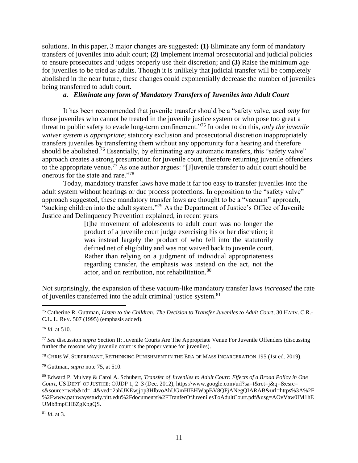solutions. In this paper, 3 major changes are suggested: **(1)** Eliminate any form of mandatory transfers of juveniles into adult court; **(2)** Implement internal prosecutorial and judicial policies to ensure prosecutors and judges properly use their discretion; and **(3)** Raise the minimum age for juveniles to be tried as adults. Though it is unlikely that judicial transfer will be completely abolished in the near future, these changes could exponentially decrease the number of juveniles being transferred to adult court.

## *a. Eliminate any form of Mandatory Transfers of Juveniles into Adult Court*

It has been recommended that juvenile transfer should be a "safety valve, used *only* for those juveniles who cannot be treated in the juvenile justice system or who pose too great a threat to public safety to evade long-term confinement."<sup>75</sup> In order to do this, *only the juvenile waiver system is appropriate*; statutory exclusion and prosecutorial discretion inappropriately transfers juveniles by transferring them without any opportunity for a hearing and therefore should be abolished.<sup>76</sup> Essentially, by eliminating any automatic transfers, this "safety valve" approach creates a strong presumption for juvenile court, therefore returning juvenile offenders to the appropriate venue.<sup>77</sup> As one author argues: "[J]uvenile transfer to adult court should be onerous for the state and rare."<sup>78</sup>

Today, mandatory transfer laws have made it far too easy to transfer juveniles into the adult system without hearings or due process protections. In opposition to the "safety valve" approach suggested, these mandatory transfer laws are thought to be a "vacuum" approach, "sucking children into the adult system."<sup>79</sup> As the Department of Justice's Office of Juvenile Justice and Delinquency Prevention explained, in recent years

> [t]he movement of adolescents to adult court was no longer the product of a juvenile court judge exercising his or her discretion; it was instead largely the product of who fell into the statutorily defined net of eligibility and was not waived back to juvenile court. Rather than relying on a judgment of individual appropriateness regarding transfer, the emphasis was instead on the act, not the actor, and on retribution, not rehabilitation.<sup>80</sup>

Not surprisingly, the expansion of these vacuum-like mandatory transfer laws *increased* the rate of juveniles transferred into the adult criminal justice system.<sup>81</sup>

 $\overline{a}$ 

<sup>78</sup> CHRIS W. SURPRENANT, RETHINKING PUNISHMENT IN THE ERA OF MASS INCARCERATION 195 (1st ed. 2019).

<sup>75</sup> Catherine R. Guttman, *Listen to the Children: The Decision to Transfer Juveniles to Adult Court*, 30 HARV. C.R.- C.L. L. REV. 507 (1995) (emphasis added).

<sup>76</sup> *Id*. at 510.

<sup>77</sup> *See* discussion *supra* Section II: Juvenile Courts Are The Appropriate Venue For Juvenile Offenders (discussing further the reasons why juvenile court is the proper venue for juveniles).

<sup>79</sup> Guttman, *supra* note 75, at 510.

<sup>80</sup> Edward P. Mulvey & Carol A. Schubert, *Transfer of Juveniles to Adult Court: Effects of a Broad Policy in One Court*, US DEPT' OF JUSTICE: OJJDP 1, 2–3 (Dec. 2012), https://www.google.com/url?sa=t&rct=j&q=&esrc= s&source=web&cd=14&ved=2ahUKEwjjop3HlbvoAhUGmHIEHWapBV8QFjANegQIARAB&url=https%3A%2F %2Fwww.pathwaysstudy.pitt.edu%2Fdocuments%2FTranferOfJuvenilesToAdultCourt.pdf&usg=AOvVaw0IM1hE UMb8mpCH8ZgKpgQS.

<sup>81</sup> *Id*. at 3.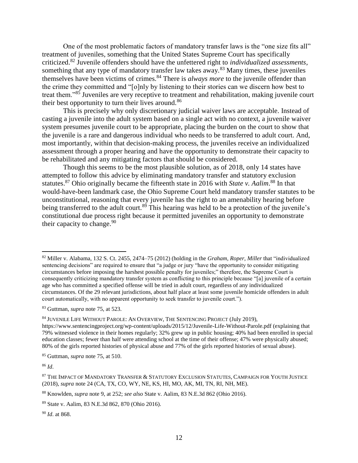One of the most problematic factors of mandatory transfer laws is the "one size fits all" treatment of juveniles, something that the United States Supreme Court has specifically criticized.<sup>82</sup> Juvenile offenders should have the unfettered right to *individualized assessments*, something that any type of mandatory transfer law takes away.<sup>83</sup> Many times, these juveniles themselves have been victims of crimes. <sup>84</sup> There is *always more* to the juvenile offender than the crime they committed and "[o]nly by listening to their stories can we discern how best to treat them."<sup>85</sup> Juveniles are very receptive to treatment and rehabilitation, making juvenile court their best opportunity to turn their lives around.<sup>86</sup>

This is precisely why only discretionary judicial waiver laws are acceptable. Instead of casting a juvenile into the adult system based on a single act with no context, a juvenile waiver system presumes juvenile court to be appropriate, placing the burden on the court to show that the juvenile is a rare and dangerous individual who needs to be transferred to adult court. And, most importantly, within that decision-making process, the juveniles receive an individualized assessment through a proper hearing and have the opportunity to demonstrate their capacity to be rehabilitated and any mitigating factors that should be considered.

Though this seems to be the most plausible solution, as of 2018, only 14 states have attempted to follow this advice by eliminating mandatory transfer and statutory exclusion statutes.<sup>87</sup> Ohio originally became the fifteenth state in 2016 with *State v. Aalim*.<sup>88</sup> In that would-have-been landmark case, the Ohio Supreme Court held mandatory transfer statutes to be unconstitutional, reasoning that every juvenile has the right to an amenability hearing before being transferred to the adult court.<sup>89</sup> This hearing was held to be a protection of the juvenile's constitutional due process right because it permitted juveniles an opportunity to demonstrate their capacity to change.  $90$ 

<sup>82</sup> Miller v. Alabama, 132 S. Ct. 2455, 2474–75 (2012) (holding in the *Graham*, *Roper*, *Miller* that "individualized sentencing decisions" are required to ensure that "a judge or jury "have the opportunity to consider mitigating circumstances before imposing the harshest possible penalty for juveniles;" therefore, the Supreme Court is consequently criticizing mandatory transfer system as conflicting to this principle because "[a] juvenile of a certain age who has committed a specified offense will be tried in adult court, regardless of any individualized circumstances. Of the 29 relevant jurisdictions, about half place at least some juvenile homicide offenders in adult court automatically, with no apparent opportunity to seek transfer to juvenile court.").

<sup>83</sup> Guttman, *supra* note 75, at 523.

<sup>84</sup> JUVENILE LIFE WITHOUT PAROLE: AN OVERVIEW, THE SENTENCING PROJECT (July 2019),

https://www.sentencingproject.org/wp-content/uploads/2015/12/Juvenile-Life-Without-Parole.pdf (explaining that 79% witnessed violence in their homes regularly; 32% grew up in public housing; 40% had been enrolled in special education classes; fewer than half were attending school at the time of their offense; 47% were physically abused; 80% of the girls reported histories of physical abuse and 77% of the girls reported histories of sexual abuse).

<sup>85</sup> Guttman, *supra* note 75, at 510.

<sup>86</sup> *Id*.

<sup>87</sup> THE IMPACT OF MANDATORY TRANSFER & STATUTORY EXCLUSION STATUTES, CAMPAIGN FOR YOUTH JUSTICE (2018), *supra* note 24 (CA, TX, CO, WY, NE, KS, HI, MO, AK, MI, TN, RI, NH, ME).

<sup>88</sup> Knowlden, *supra* note 9, at 252; *see also* State v. Aalim, 83 N.E.3d 862 (Ohio 2016).

<sup>89</sup> State v. Aalim, 83 N.E.3d 862, 870 (Ohio 2016).

<sup>90</sup> *Id*. at 868.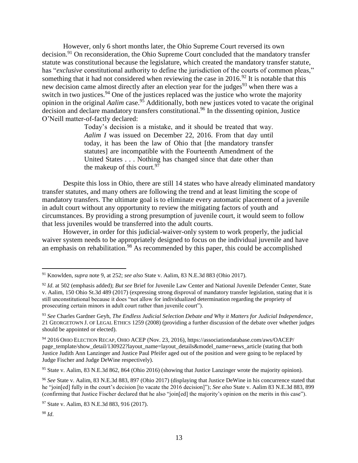However, only 6 short months later, the Ohio Supreme Court reversed its own decision.<sup>91</sup> On reconsideration, the Ohio Supreme Court concluded that the mandatory transfer statute was constitutional because the legislature, which created the mandatory transfer statute, has "*exclusive* constitutional authority to define the jurisdiction of the courts of common pleas," something that it had not considered when reviewing the case in 2016.<sup>92</sup> It is notable that this new decision came almost directly after an election year for the judges<sup>93</sup> when there was a switch in two justices.<sup>94</sup> One of the justices replaced was the justice who wrote the majority opinion in the original *Aalim* case.<sup>95</sup> Additionally, both new justices voted to vacate the original decision and declare mandatory transfers constitutional.<sup>96</sup> In the dissenting opinion, Justice O'Neill matter-of-factly declared:

> Today's decision is a mistake, and it should be treated that way. *Aalim I* was issued on December 22, 2016. From that day until today, it has been the law of Ohio that [the mandatory transfer statutes] are incompatible with the Fourteenth Amendment of the United States . . . Nothing has changed since that date other than the makeup of this court.  $97$

Despite this loss in Ohio, there are still 14 states who have already eliminated mandatory transfer statutes, and many others are following the trend and at least limiting the scope of mandatory transfers. The ultimate goal is to eliminate every automatic placement of a juvenile in adult court without any opportunity to review the mitigating factors of youth and circumstances. By providing a strong presumption of juvenile court, it would seem to follow that less juveniles would be transferred into the adult courts.

However, in order for this judicial-waiver-only system to work properly, the judicial waiver system needs to be appropriately designed to focus on the individual juvenile and have an emphasis on rehabilitation.<sup>98</sup> As recommended by this paper, this could be accomplished

<sup>91</sup> Knowlden, *supra* note 9, at 252; *see also* State v. Aalim, 83 N.E.3d 883 (Ohio 2017).

<sup>92</sup> *Id*. at 502 (emphasis added); *But see* Brief for Juvenile Law Center and National Juvenile Defender Center, State v. Aalim, 150 Ohio St.3d 489 (2017) (expressing strong disproval of mandatory transfer legislation, stating that it is still unconstitutional because it does "not allow for individualized determination regarding the propriety of prosecuting certain minors in adult court rather than juvenile court").

<sup>93</sup> *See* Charles Gardner Geyh, *The Endless Judicial Selection Debate and Why it Matters for Judicial Independence*, 21 GEORGETOWN J. OF LEGAL ETHICS 1259 (2008) (providing a further discussion of the debate over whether judges should be appointed or elected).

<sup>94</sup> 2016 OHIO ELECTION RECAP, OHIO ACEP (Nov. 23, 2016), https://associationdatabase.com/aws/OACEP/ page\_template/show\_detail/130922?layout\_name=layout\_details&model\_name=news\_article (stating that both Justice Judith Ann Lanzinger and Justice Paul Pfeifer aged out of the position and were going to be replaced by Judge Fischer and Judge DeWine respectively).

<sup>95</sup> State v. Aalim, 83 N.E.3d 862, 864 (Ohio 2016) (showing that Justice Lanzinger wrote the majority opinion).

<sup>96</sup> *See* State v. Aalim, 83 N.E.3d 883, 897 (Ohio 2017) (displaying that Justice DeWine in his concurrence stated that he "join[ed] fully in the court's decision [to vacate the 2016 decision]"); *See also* State v. Aalim 83 N.E.3d 883, 899 (confirming that Justice Fischer declared that he also "join[ed] the majority's opinion on the merits in this case").

<sup>97</sup> State v. Aalim, 83 N.E.3d 883, 916 (2017).

<sup>98</sup> *Id*.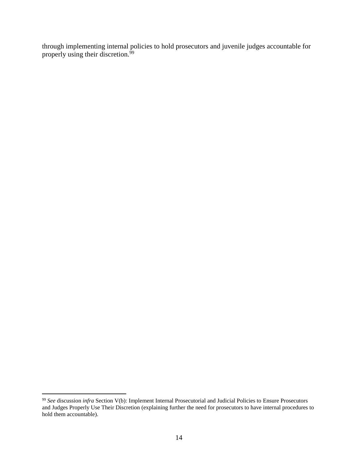through implementing internal policies to hold prosecutors and juvenile judges accountable for properly using their discretion.<sup>99</sup>

<sup>99</sup> *See* discussion *infra* Section V(b): Implement Internal Prosecutorial and Judicial Policies to Ensure Prosecutors and Judges Properly Use Their Discretion (explaining further the need for prosecutors to have internal procedures to hold them accountable).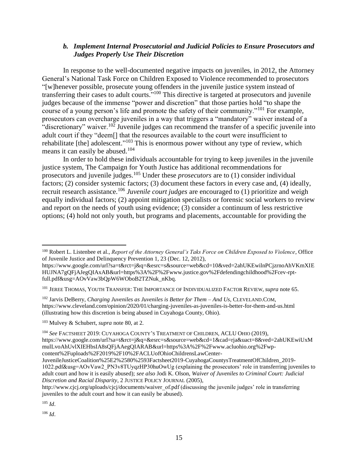## *b. Implement Internal Prosecutorial and Judicial Policies to Ensure Prosecutors and Judges Properly Use Their Discretion*

In response to the well-documented negative impacts on juveniles, in 2012, the Attorney General's National Task Force on Children Exposed to Violence recommended to prosecutors "[w]henever possible, prosecute young offenders in the juvenile justice system instead of transferring their cases to adult courts."<sup>100</sup> This directive is targeted at prosecutors and juvenile judges because of the immense "power and discretion" that those parties hold "to shape the course of a young person's life and promote the safety of their community."<sup>101</sup> For example, prosecutors can overcharge juveniles in a way that triggers a "mandatory" waiver instead of a "discretionary" waiver.<sup>102</sup> Juvenile judges can recommend the transfer of a specific juvenile into adult court if they "deem[] that the resources available to the court were insufficient to rehabilitate [the] adolescent."<sup>103</sup> This is enormous power without any type of review, which means it can easily be abused.<sup>104</sup>

In order to hold these individuals accountable for trying to keep juveniles in the juvenile justice system, The Campaign for Youth Justice has additional recommendations for prosecutors and juvenile judges. <sup>105</sup> Under these *prosecutors* are to (1) consider individual factors; (2) consider systemic factors; (3) document these factors in every case and, (4) ideally, recruit research assistance.<sup>106</sup> *Juvenile court judges* are encouraged to (1) prioritize and weigh equally individual factors; (2) appoint mitigation specialists or forensic social workers to review and report on the needs of youth using evidence; (3) consider a continuum of less restrictive options; (4) hold not only youth, but programs and placements, accountable for providing the

<sup>104</sup> *See* FACTSHEET 2019: CUYAHOGA COUNTY'S TREATMENT OF CHILDREN, ACLU OHIO (2019), https://www.google.com/url?sa=t&rct=j&q=&esrc=s&source=web&cd=1&cad=rja&uact=8&ved=2ahUKEwiUxM mulLvoAhUvlXIEHbsIA8sQFjAAegQIARAB&url=https%3A%2F%2Fwww.acluohio.org%2Fwpcontent%2Fuploads%2F2019%2F10%2FACLUofOhioChildrensLawCenter-

<sup>105</sup> *Id*.

 $\overline{a}$ 

<sup>100</sup> Robert L. Listenbee et al., *Report of the Attorney General's Taks Force on Children Exposed to Violence*, Office of Juvenile Justice and Delinquency Prevention 1, 23 (Dec. 12, 2012),

https://www.google.com/url?sa=t&rct=j&q=&esrc=s&source=web&cd=10&ved=2ahUKEwilnPCjzrnoAhVKmXIE HUJNA7gQFjAJegQIAxAB&url=https%3A%2F%2Fwww.justice.gov%2Fdefendingchildhood%2Fcev-rptfull.pdf&usg=AOvVaw3bQpW6WOboB2TZNuk\_nKbq.

<sup>101</sup> JEREE THOMAS, YOUTH TRANSFER: THE IMPORTANCE OF INDIVIDUALIZED FACTOR REVIEW, *supra* note 65.

<sup>102</sup> Jarvis DeBerry, *Charging Juveniles as Juveniles is Better for Them – And Us*, CLEVELAND.COM, https://www.cleveland.com/opinion/2020/01/charging-juveniles-as-juveniles-is-better-for-them-and-us.html (illustrating how this discretion is being abused in Cuyahoga County, Ohio).

<sup>103</sup> Mulvey & Schubert, *supra* note 80, at 2.

JuvenileJusticeCoalition%25E2%2580%2593Factsheet2019-CuyahogaCountysTreatmentOfChildren\_2019- 1022.pdf&usg=AOvVaw2\_PN3v8TUyqzHP30huOwUg (explaining the prosecutors' role in transferring juveniles to adult court and how it is easily abused); *see also* Jodi K. Olson, *Waiver of Juveniles to Criminal Court: Judicial Discretion and Racial Disparity*, 2 JUSTICE POLICY JOURNAL (2005),

http://www.cjcj.org/uploads/cjcj/documents/waiver\_of.pdf (discussing the juvenile judges' role in transferring juveniles to the adult court and how it can easily be abused).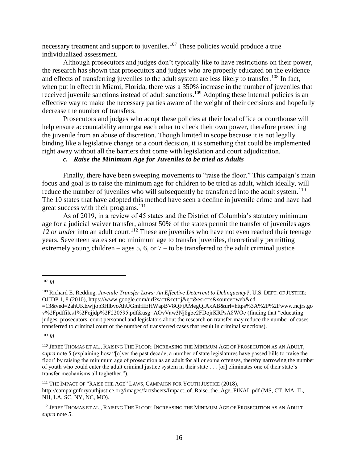necessary treatment and support to juveniles.<sup>107</sup> These policies would produce a true individualized assessment.

Although prosecutors and judges don't typically like to have restrictions on their power, the research has shown that prosecutors and judges who are properly educated on the evidence and effects of transferring juveniles to the adult system are less likely to transfer.<sup>108</sup> In fact, when put in effect in Miami, Florida, there was a 350% increase in the number of juveniles that received juvenile sanctions instead of adult sanctions.<sup>109</sup> Adopting these internal policies is an effective way to make the necessary parties aware of the weight of their decisions and hopefully decrease the number of transfers.

Prosecutors and judges who adopt these policies at their local office or courthouse will help ensure accountability amongst each other to check their own power, therefore protecting the juvenile from an abuse of discretion. Though limited in scope because it is not legally binding like a legislative change or a court decision, it is something that could be implemented right away without all the barriers that come with legislation and court adjudication.

## *c. Raise the Minimum Age for Juveniles to be tried as Adults*

Finally, there have been sweeping movements to "raise the floor." This campaign's main focus and goal is to raise the minimum age for children to be tried as adult, which ideally, will reduce the number of juveniles who will subsequently be transferred into the adult system.<sup>110</sup> The 10 states that have adopted this method have seen a decline in juvenile crime and have had great success with their programs. $111$ 

As of 2019, in a review of 45 states and the District of Columbia's statutory minimum age for a judicial waiver transfer, almost 50% of the states permit the transfer of juveniles ages *12 or under* into an adult court.<sup>112</sup> These are juveniles who have not even reached their teenage years. Seventeen states set no minimum age to transfer juveniles, theoretically permitting extremely young children – ages 5, 6, or  $7 -$  to be transferred to the adult criminal justice

 $\overline{a}$ <sup>107</sup> *Id*.

<sup>108</sup> Richard E. Redding, *Juvenile Transfer Laws: An Effective Deterrent to Delinquency?*, U.S. DEPT. OF JUSTICE: OJJDP 1, 8 (2010), https://www.google.com/url?sa=t&rct=j&q=&esrc=s&source=web&cd

<sup>=13&</sup>amp;ved=2ahUKEwjjop3HlbvoAhUGmHIEHWapBV8QFjAMegQIAxAB&url=https%3A%2F%2Fwww.ncjrs.go v%2Fpdffiles1%2Fojjdp%2F220595.pdf&usg=AOvVaw3Nj8gbc2FDojrKRPsA8WOc (finding that "educating judges, prosecutors, court personnel and legislators about the research on transfer may reduce the number of cases transferred to criminal court or the number of transferred cases that result in criminal sanctions).

<sup>110</sup> JEREE THOMAS ET AL., RAISING THE FLOOR: INCREASING THE MINIMUM AGE OF PROSECUTION AS AN ADULT, *supra* note 5 (explaining how "[o]ver the past decade, a number of state legislatures have passed bills to 'raise the floor' by raising the minimum age of prosecution as an adult for all or some offenses, thereby narrowing the number of youth who could enter the adult criminal justice system in their state . . . [or] eliminates one of their state's transfer mechanisms all toghether.").

<sup>&</sup>lt;sup>111</sup> THE IMPACT OF "RAISE THE AGE" LAWS, CAMPAIGN FOR YOUTH JUSTICE (2018), http://campaignforyouthjustice.org/images/factsheets/Impact\_of\_Raise\_the\_Age\_FINAL.pdf (MS, CT, MA, IL, NH, LA, SC, NY, NC, MO).

<sup>&</sup>lt;sup>112</sup> JEREE THOMAS ET AL., RAISING THE FLOOR: INCREASING THE MINIMUM AGE OF PROSECUTION AS AN ADULT, *supra* note 5.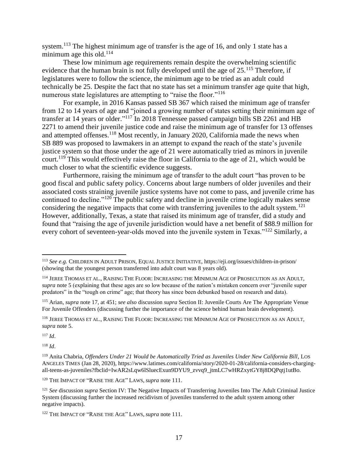system.<sup>113</sup> The highest minimum age of transfer is the age of 16, and only 1 state has a minimum age this old.<sup>114</sup>

These low minimum age requirements remain despite the overwhelming scientific evidence that the human brain is not fully developed until the age of  $25.^{115}$  Therefore, if legislatures were to follow the science, the minimum age to be tried as an adult could technically be 25. Despite the fact that no state has set a minimum transfer age quite that high, numerous state legislatures are attempting to "raise the floor."<sup>116</sup>

For example, in 2016 Kansas passed SB 367 which raised the minimum age of transfer from 12 to 14 years of age and "joined a growing number of states setting their minimum age of transfer at 14 years or older."<sup>117</sup> In 2018 Tennessee passed campaign bills SB 2261 and HB 2271 to amend their juvenile justice code and raise the minimum age of transfer for 13 offenses and attempted offenses.<sup>118</sup> Most recently, in January 2020, California made the news when SB 889 was proposed to lawmakers in an attempt to expand the reach of the state's juvenile justice system so that those under the age of 21 were automatically tried as minors in juvenile court.<sup>119</sup> This would effectively raise the floor in California to the age of 21, which would be much closer to what the scientific evidence suggests.

Furthermore, raising the minimum age of transfer to the adult court "has proven to be good fiscal and public safety policy. Concerns about large numbers of older juveniles and their associated costs straining juvenile justice systems have not come to pass, and juvenile crime has continued to decline."<sup>120</sup> The public safety and decline in juvenile crime logically makes sense considering the negative impacts that come with transferring juveniles to the adult system.<sup>121</sup> However, additionally, Texas, a state that raised its minimum age of transfer, did a study and found that "raising the age of juvenile jurisdiction would have a net benefit of \$88.9 million for every cohort of seventeen-year-olds moved into the juvenile system in Texas."<sup>122</sup> Similarly, a

<sup>117</sup> *Id*.

 $\overline{a}$ 

<sup>113</sup> *See e.g.* CHILDREN IN ADULT PRISON, EQUAL JUSTICE INITIATIVE, https://eji.org/issues/children-in-prison/ (showing that the youngest person transferred into adult court was 8 years old).

<sup>114</sup> JEREE THOMAS ET AL., RAISING THE FLOOR: INCREASING THE MINIMUM AGE OF PROSECUTION AS AN ADULT, *supra* note 5 (explaining that these ages are so low because of the nation's mistaken concern over "juvenile super predators" in the "tough on crime" age; that theory has since been debunked based on research and data).

<sup>115</sup> Arian, *supra* note 17, at 451; *see also* discussion *supra* Section II: Juvenile Courts Are The Appropriate Venue For Juvenile Offenders (discussing further the importance of the science behind human brain development).

<sup>116</sup> JEREE THOMAS ET AL., RAISING THE FLOOR: INCREASING THE MINIMUM AGE OF PROSECUTION AS AN ADULT, *supra* note 5.

<sup>&</sup>lt;sup>119</sup> Anita Chabria, *Offenders Under 21 Would be Automatically Tried as Juveniles Under New California Bill*, LOS ANGELES TIMES (Jan 28, 2020), https://www.latimes.com/california/story/2020-01-28/california-considers-chargingall-teens-as-juveniles?fbclid=IwAR2sLqw6lSluecExun9DYU9\_zvvq9\_jtmLC7wHRZxytGY8j8DQPqtj1utBo.

<sup>120</sup> THE IMPACT OF "RAISE THE AGE" LAWS, *supra* note 111.

<sup>&</sup>lt;sup>121</sup> *See* discussion *supra* Section IV: The Negative Impacts of Transferring Juveniles Into The Adult Criminal Justice System (discussing further the increased recidivism of juveniles transferred to the adult system among other negative impacts).

<sup>122</sup> THE IMPACT OF "RAISE THE AGE" LAWS, *supra* note 111.